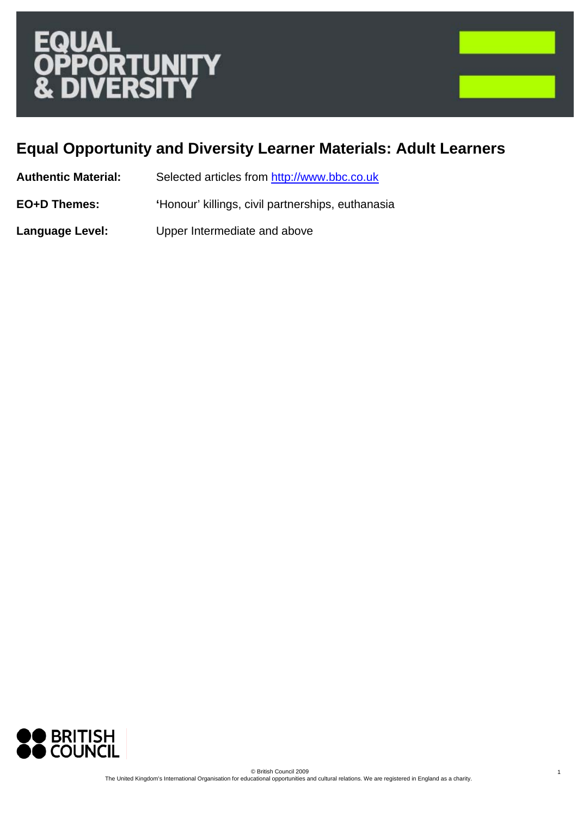# **ERS**



1

# **Equal Opportunity and Diversity Learner Materials: Adult Learners**

| <b>Authentic Material:</b> | Selected articles from http://www.bbc.co.uk |
|----------------------------|---------------------------------------------|
|----------------------------|---------------------------------------------|

**EO+D Themes: '**Honour' killings, civil partnerships, euthanasia

**Language Level:** Upper Intermediate and above

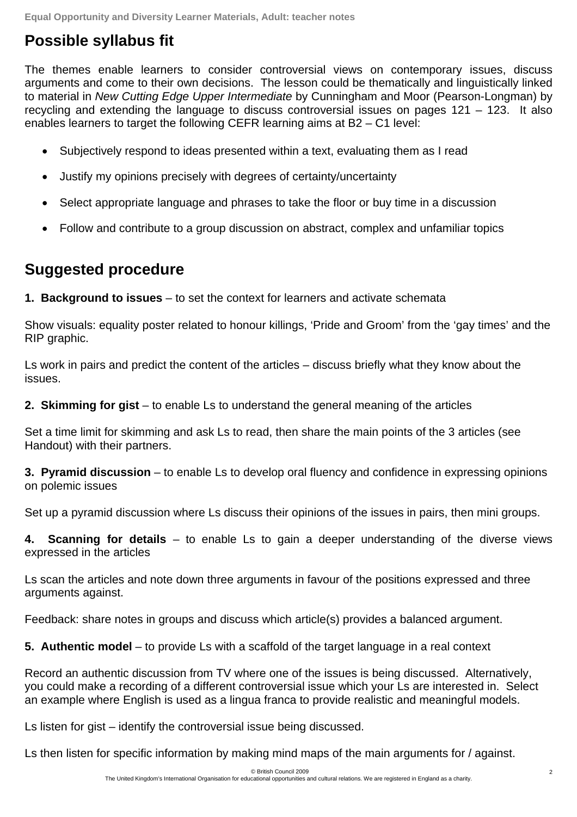## **Possible syllabus fit**

The themes enable learners to consider controversial views on contemporary issues, discuss arguments and come to their own decisions. The lesson could be thematically and linguistically linked to material in *New Cutting Edge Upper Intermediate* by Cunningham and Moor (Pearson-Longman) by recycling and extending the language to discuss controversial issues on pages 121 – 123. It also enables learners to target the following CEFR learning aims at B2 – C1 level:

- Subjectively respond to ideas presented within a text, evaluating them as I read
- Justify my opinions precisely with degrees of certainty/uncertainty
- Select appropriate language and phrases to take the floor or buy time in a discussion
- Follow and contribute to a group discussion on abstract, complex and unfamiliar topics

## **Suggested procedure**

**1. Background to issues** – to set the context for learners and activate schemata

Show visuals: equality poster related to honour killings, 'Pride and Groom' from the 'gay times' and the RIP graphic.

Ls work in pairs and predict the content of the articles – discuss briefly what they know about the issues.

**2. Skimming for gist** – to enable Ls to understand the general meaning of the articles

Set a time limit for skimming and ask Ls to read, then share the main points of the 3 articles (see Handout) with their partners.

**3. Pyramid discussion** – to enable Ls to develop oral fluency and confidence in expressing opinions on polemic issues

Set up a pyramid discussion where Ls discuss their opinions of the issues in pairs, then mini groups.

**4. Scanning for details** – to enable Ls to gain a deeper understanding of the diverse views expressed in the articles

Ls scan the articles and note down three arguments in favour of the positions expressed and three arguments against.

Feedback: share notes in groups and discuss which article(s) provides a balanced argument.

**5. Authentic model** – to provide Ls with a scaffold of the target language in a real context

Record an authentic discussion from TV where one of the issues is being discussed. Alternatively, you could make a recording of a different controversial issue which your Ls are interested in. Select an example where English is used as a lingua franca to provide realistic and meaningful models.

Ls listen for gist – identify the controversial issue being discussed.

Ls then listen for specific information by making mind maps of the main arguments for / against.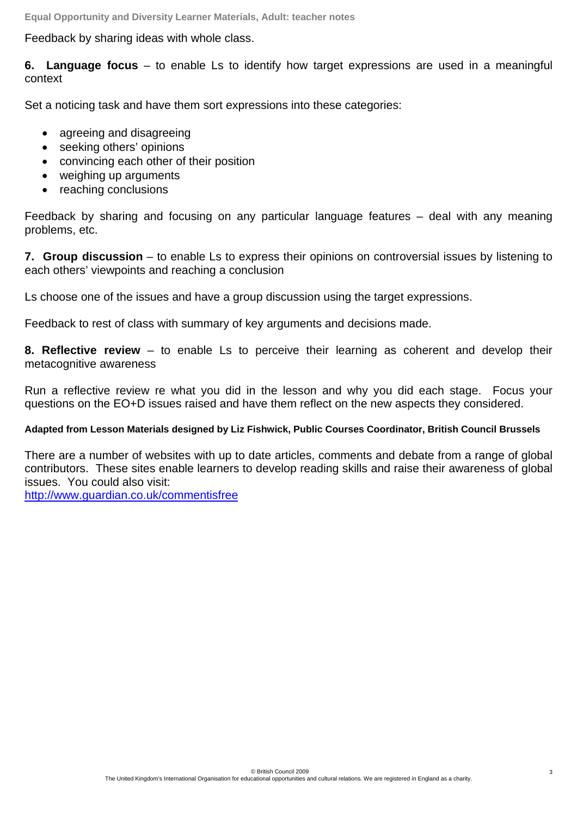**Equal Opportunity and Diversity Learner Materials, Adult: teacher notes** 

Feedback by sharing ideas with whole class.

**6. Language focus** – to enable Ls to identify how target expressions are used in a meaningful context

Set a noticing task and have them sort expressions into these categories:

- agreeing and disagreeing
- seeking others' opinions
- convincing each other of their position
- weighing up arguments
- reaching conclusions

Feedback by sharing and focusing on any particular language features – deal with any meaning problems, etc.

**7. Group discussion** – to enable Ls to express their opinions on controversial issues by listening to each others' viewpoints and reaching a conclusion

Ls choose one of the issues and have a group discussion using the target expressions.

Feedback to rest of class with summary of key arguments and decisions made.

**8. Reflective review** – to enable Ls to perceive their learning as coherent and develop their metacognitive awareness

Run a reflective review re what you did in the lesson and why you did each stage. Focus your questions on the EO+D issues raised and have them reflect on the new aspects they considered.

#### **Adapted from Lesson Materials designed by Liz Fishwick, Public Courses Coordinator, British Council Brussels**

There are a number of websites with up to date articles, comments and debate from a range of global contributors. These sites enable learners to develop reading skills and raise their awareness of global issues. You could also visit:

http://www.guardian.co.uk/commentisfree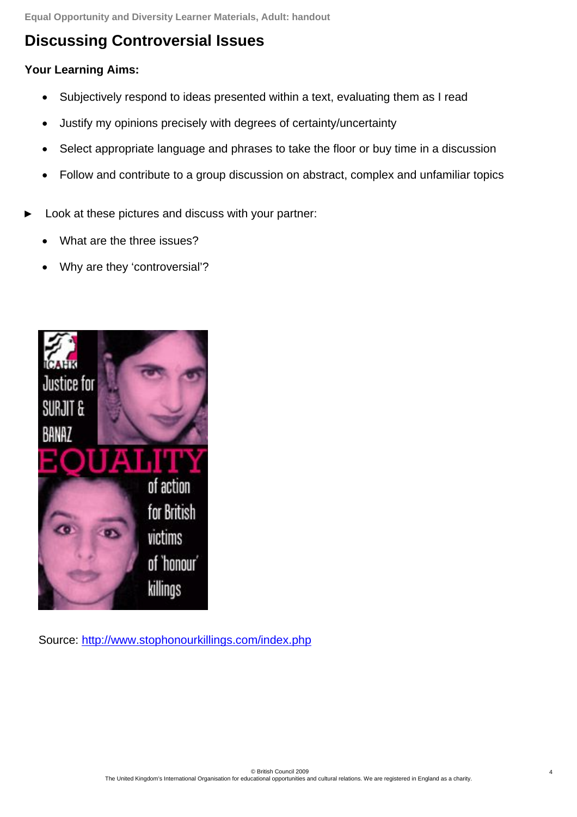**Equal Opportunity and Diversity Learner Materials, Adult: handout** 

## **Discussing Controversial Issues**

#### **Your Learning Aims:**

- Subjectively respond to ideas presented within a text, evaluating them as I read
- Justify my opinions precisely with degrees of certainty/uncertainty
- Select appropriate language and phrases to take the floor or buy time in a discussion
- Follow and contribute to a group discussion on abstract, complex and unfamiliar topics
- Look at these pictures and discuss with your partner:
	- What are the three issues?
	- Why are they 'controversial'?



Source: http://www.stophonourkillings.com/index.php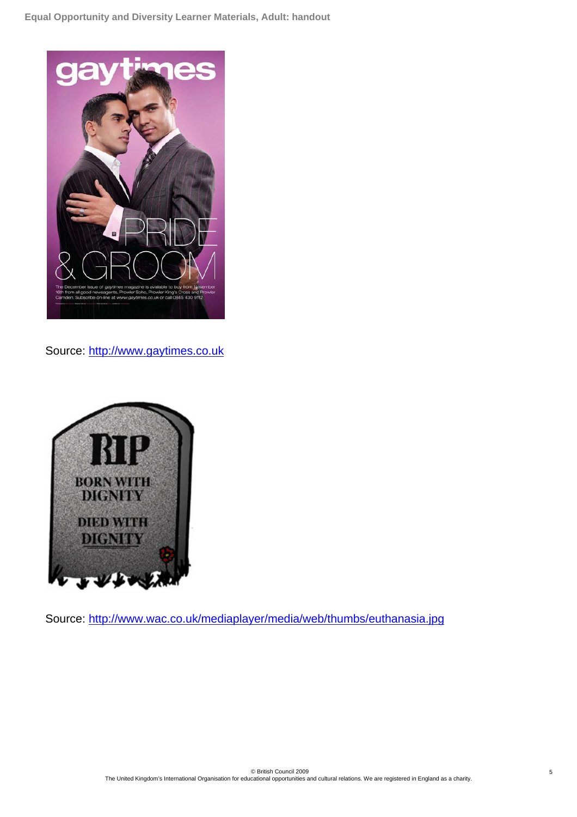

Source: http://www.gaytimes.co.uk



Source: http://www.wac.co.uk/mediaplayer/media/web/thumbs/euthanasia.jpg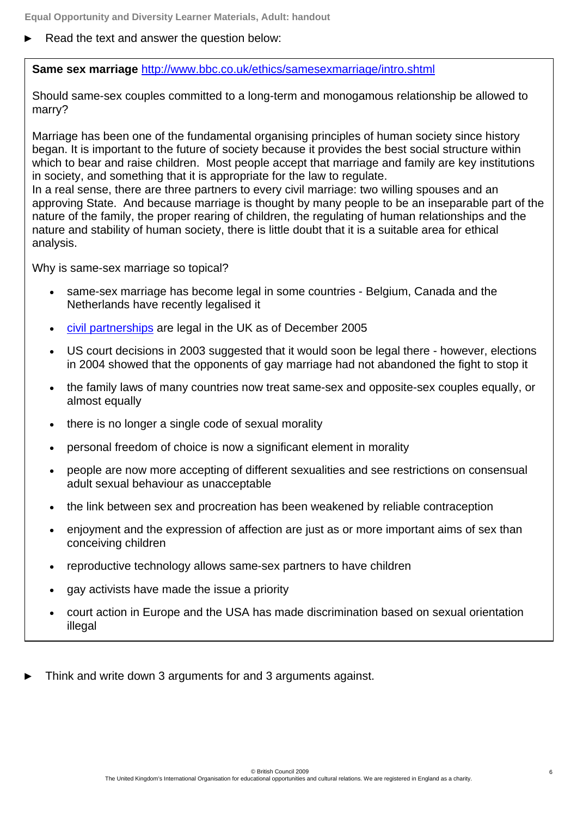Read the text and answer the question below:

**Same sex marriage** http://www.bbc.co.uk/ethics/samesexmarriage/intro.shtml

Should same-sex couples committed to a long-term and monogamous relationship be allowed to marry?

Marriage has been one of the fundamental organising principles of human society since history began. It is important to the future of society because it provides the best social structure within which to bear and raise children. Most people accept that marriage and family are key institutions in society, and something that it is appropriate for the law to regulate.

In a real sense, there are three partners to every civil marriage: two willing spouses and an approving State. And because marriage is thought by many people to be an inseparable part of the nature of the family, the proper rearing of children, the regulating of human relationships and the nature and stability of human society, there is little doubt that it is a suitable area for ethical analysis.

Why is same-sex marriage so topical?

- same-sex marriage has become legal in some countries Belgium, Canada and the Netherlands have recently legalised it
- civil partnerships are legal in the UK as of December 2005
- US court decisions in 2003 suggested that it would soon be legal there however, elections in 2004 showed that the opponents of gay marriage had not abandoned the fight to stop it
- the family laws of many countries now treat same-sex and opposite-sex couples equally, or almost equally
- there is no longer a single code of sexual morality
- personal freedom of choice is now a significant element in morality
- people are now more accepting of different sexualities and see restrictions on consensual adult sexual behaviour as unacceptable
- the link between sex and procreation has been weakened by reliable contraception
- enjoyment and the expression of affection are just as or more important aims of sex than conceiving children
- reproductive technology allows same-sex partners to have children
- gay activists have made the issue a priority
- court action in Europe and the USA has made discrimination based on sexual orientation illegal
- Think and write down 3 arguments for and 3 arguments against.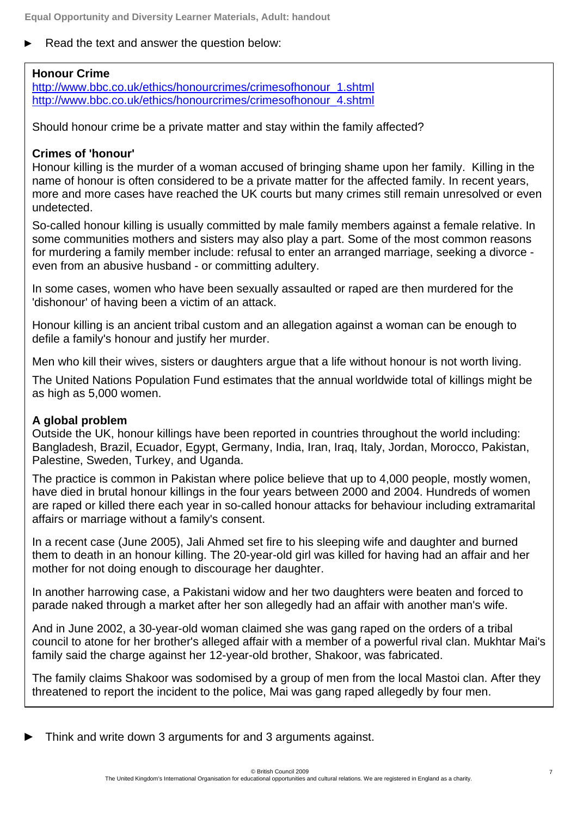Read the text and answer the question below:

#### **Honour Crime**

http://www.bbc.co.uk/ethics/honourcrimes/crimesofhonour\_1.shtml http://www.bbc.co.uk/ethics/honourcrimes/crimesofhonour\_4.shtml

Should honour crime be a private matter and stay within the family affected?

#### **Crimes of 'honour'**

Honour killing is the murder of a woman accused of bringing shame upon her family. Killing in the name of honour is often considered to be a private matter for the affected family. In recent years, more and more cases have reached the UK courts but many crimes still remain unresolved or even undetected.

So-called honour killing is usually committed by male family members against a female relative. In some communities mothers and sisters may also play a part. Some of the most common reasons for murdering a family member include: refusal to enter an arranged marriage, seeking a divorce even from an abusive husband - or committing adultery.

In some cases, women who have been sexually assaulted or raped are then murdered for the 'dishonour' of having been a victim of an attack.

Honour killing is an ancient tribal custom and an allegation against a woman can be enough to defile a family's honour and justify her murder.

Men who kill their wives, sisters or daughters argue that a life without honour is not worth living.

The United Nations Population Fund estimates that the annual worldwide total of killings might be as high as 5,000 women.

#### **A global problem**

Outside the UK, honour killings have been reported in countries throughout the world including: Bangladesh, Brazil, Ecuador, Egypt, Germany, India, Iran, Iraq, Italy, Jordan, Morocco, Pakistan, Palestine, Sweden, Turkey, and Uganda.

The practice is common in Pakistan where police believe that up to 4,000 people, mostly women, have died in brutal honour killings in the four years between 2000 and 2004. Hundreds of women are raped or killed there each year in so-called honour attacks for behaviour including extramarital affairs or marriage without a family's consent.

In a recent case (June 2005), Jali Ahmed set fire to his sleeping wife and daughter and burned them to death in an honour killing. The 20-year-old girl was killed for having had an affair and her mother for not doing enough to discourage her daughter.

In another harrowing case, a Pakistani widow and her two daughters were beaten and forced to parade naked through a market after her son allegedly had an affair with another man's wife.

And in June 2002, a 30-year-old woman claimed she was gang raped on the orders of a tribal council to atone for her brother's alleged affair with a member of a powerful rival clan. Mukhtar Mai's family said the charge against her 12-year-old brother, Shakoor, was fabricated.

The family claims Shakoor was sodomised by a group of men from the local Mastoi clan. After they threatened to report the incident to the police, Mai was gang raped allegedly by four men.

Think and write down 3 arguments for and 3 arguments against.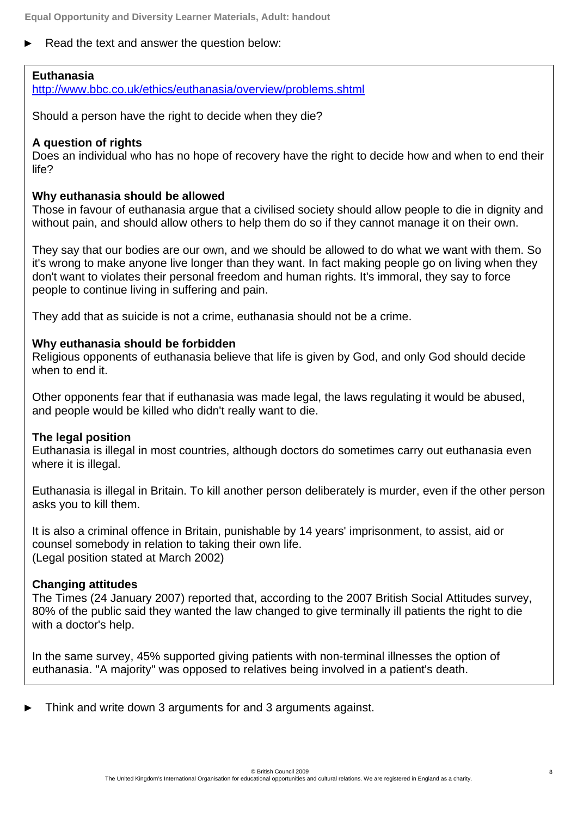Read the text and answer the question below:

#### **Euthanasia**

http://www.bbc.co.uk/ethics/euthanasia/overview/problems.shtml

Should a person have the right to decide when they die?

#### **A question of rights**

Does an individual who has no hope of recovery have the right to decide how and when to end their life?

#### **Why euthanasia should be allowed**

Those in favour of euthanasia argue that a civilised society should allow people to die in dignity and without pain, and should allow others to help them do so if they cannot manage it on their own.

They say that our bodies are our own, and we should be allowed to do what we want with them. So it's wrong to make anyone live longer than they want. In fact making people go on living when they don't want to violates their personal freedom and human rights. It's immoral, they say to force people to continue living in suffering and pain.

They add that as suicide is not a crime, euthanasia should not be a crime.

#### **Why euthanasia should be forbidden**

Religious opponents of euthanasia believe that life is given by God, and only God should decide when to end it.

Other opponents fear that if euthanasia was made legal, the laws regulating it would be abused, and people would be killed who didn't really want to die.

#### **The legal position**

Euthanasia is illegal in most countries, although doctors do sometimes carry out euthanasia even where it is illegal.

Euthanasia is illegal in Britain. To kill another person deliberately is murder, even if the other person asks you to kill them.

It is also a criminal offence in Britain, punishable by 14 years' imprisonment, to assist, aid or counsel somebody in relation to taking their own life. (Legal position stated at March 2002)

#### **Changing attitudes**

The Times (24 January 2007) reported that, according to the 2007 British Social Attitudes survey, 80% of the public said they wanted the law changed to give terminally ill patients the right to die with a doctor's help.

In the same survey, 45% supported giving patients with non-terminal illnesses the option of euthanasia. "A majority" was opposed to relatives being involved in a patient's death.

Think and write down 3 arguments for and 3 arguments against.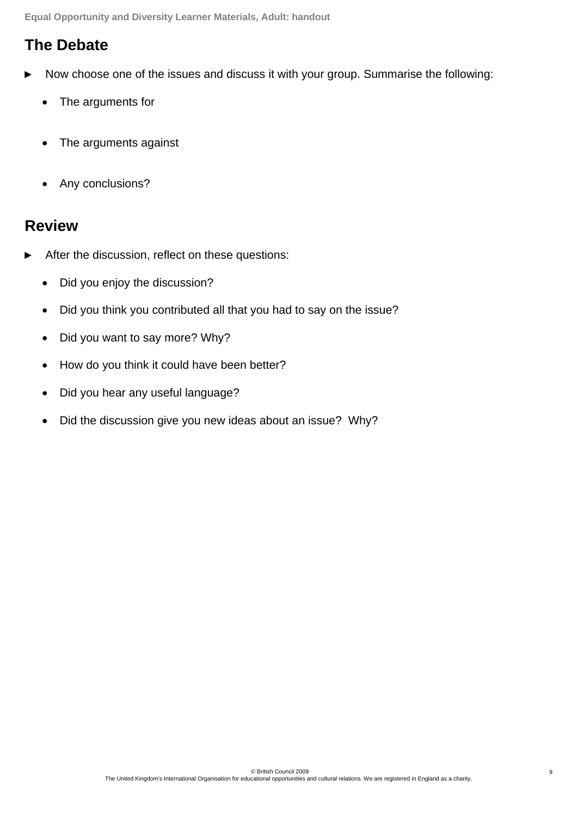**Equal Opportunity and Diversity Learner Materials, Adult: handout**

## **The Debate**

- Now choose one of the issues and discuss it with your group. Summarise the following:
	- The arguments for
	- The arguments against
	- Any conclusions?

### **Review**

- After the discussion, reflect on these questions:
	- Did you enjoy the discussion?
	- Did you think you contributed all that you had to say on the issue?
	- Did you want to say more? Why?
	- How do you think it could have been better?
	- Did you hear any useful language?
	- Did the discussion give you new ideas about an issue? Why?